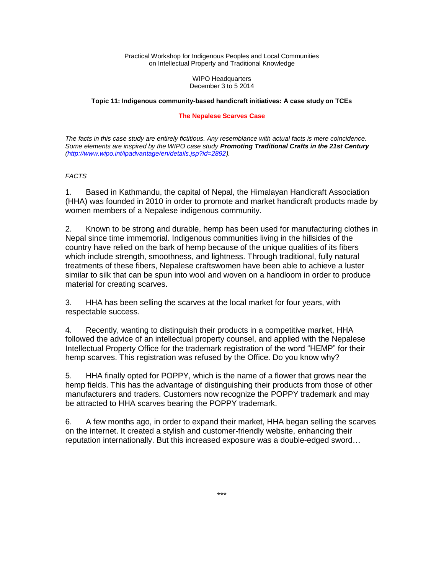Practical Workshop for Indigenous Peoples and Local Communities on Intellectual Property and Traditional Knowledge

> WIPO Headquarters December 3 to 5 2014

#### **Topic 11: Indigenous community-based handicraft initiatives: A case study on TCEs**

#### **The Nepalese Scarves Case**

*The facts in this case study are entirely fictitious. Any resemblance with actual facts is mere coincidence. Some elements are inspired by the WIPO case study Promoting Traditional Crafts in the 21st Century [\(http://www.wipo.int/ipadvantage/en/details.jsp?id=2892\)](http://www.wipo.int/ipadvantage/en/details.jsp?id=2892).*

### *FACTS*

1. Based in Kathmandu, the capital of Nepal, the Himalayan Handicraft Association (HHA) was founded in 2010 in order to promote and market handicraft products made by women members of a Nepalese indigenous community.

2. Known to be strong and durable, hemp has been used for manufacturing clothes in Nepal since time immemorial. Indigenous communities living in the hillsides of the country have relied on the bark of hemp because of the unique qualities of its fibers which include strength, smoothness, and lightness. Through traditional, fully natural treatments of these fibers, Nepalese craftswomen have been able to achieve a luster similar to silk that can be spun into wool and woven on a handloom in order to produce material for creating scarves.

3. HHA has been selling the scarves at the local market for four years, with respectable success.

4. Recently, wanting to distinguish their products in a competitive market, HHA followed the advice of an intellectual property counsel, and applied with the Nepalese Intellectual Property Office for the trademark registration of the word "HEMP" for their hemp scarves. This registration was refused by the Office. Do you know why?

5. HHA finally opted for POPPY, which is the name of a flower that grows near the hemp fields. This has the advantage of distinguishing their products from those of other manufacturers and traders. Customers now recognize the POPPY trademark and may be attracted to HHA scarves bearing the POPPY trademark.

6. A few months ago, in order to expand their market, HHA began selling the scarves on the internet. It created a stylish and customer-friendly website, enhancing their reputation internationally. But this increased exposure was a double-edged sword…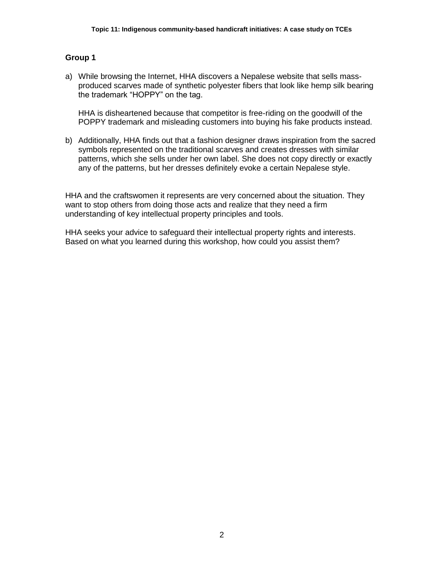a) While browsing the Internet, HHA discovers a Nepalese website that sells massproduced scarves made of synthetic polyester fibers that look like hemp silk bearing the trademark "HOPPY" on the tag.

HHA is disheartened because that competitor is free-riding on the goodwill of the POPPY trademark and misleading customers into buying his fake products instead.

b) Additionally, HHA finds out that a fashion designer draws inspiration from the sacred symbols represented on the traditional scarves and creates dresses with similar patterns, which she sells under her own label. She does not copy directly or exactly any of the patterns, but her dresses definitely evoke a certain Nepalese style.

HHA and the craftswomen it represents are very concerned about the situation. They want to stop others from doing those acts and realize that they need a firm understanding of key intellectual property principles and tools.

HHA seeks your advice to safeguard their intellectual property rights and interests. Based on what you learned during this workshop, how could you assist them?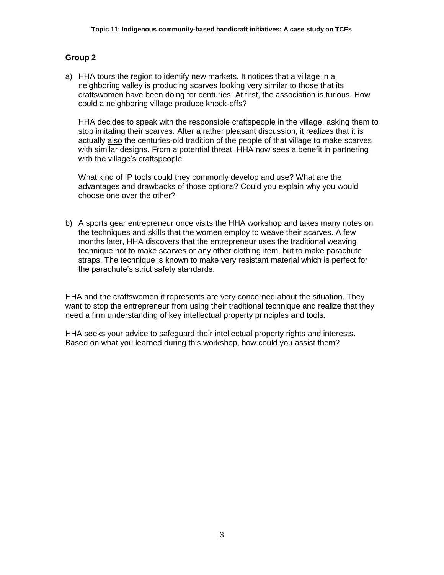a) HHA tours the region to identify new markets. It notices that a village in a neighboring valley is producing scarves looking very similar to those that its craftswomen have been doing for centuries. At first, the association is furious. How could a neighboring village produce knock-offs?

HHA decides to speak with the responsible craftspeople in the village, asking them to stop imitating their scarves. After a rather pleasant discussion, it realizes that it is actually also the centuries-old tradition of the people of that village to make scarves with similar designs. From a potential threat, HHA now sees a benefit in partnering with the village's craftspeople.

What kind of IP tools could they commonly develop and use? What are the advantages and drawbacks of those options? Could you explain why you would choose one over the other?

b) A sports gear entrepreneur once visits the HHA workshop and takes many notes on the techniques and skills that the women employ to weave their scarves. A few months later, HHA discovers that the entrepreneur uses the traditional weaving technique not to make scarves or any other clothing item, but to make parachute straps. The technique is known to make very resistant material which is perfect for the parachute's strict safety standards.

HHA and the craftswomen it represents are very concerned about the situation. They want to stop the entrepreneur from using their traditional technique and realize that they need a firm understanding of key intellectual property principles and tools.

HHA seeks your advice to safeguard their intellectual property rights and interests. Based on what you learned during this workshop, how could you assist them?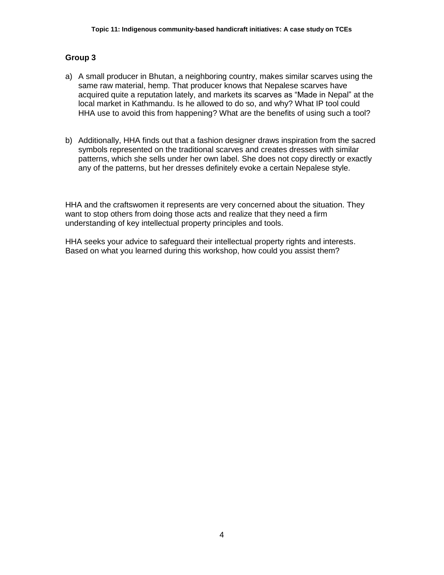- a) A small producer in Bhutan, a neighboring country, makes similar scarves using the same raw material, hemp. That producer knows that Nepalese scarves have acquired quite a reputation lately, and markets its scarves as "Made in Nepal" at the local market in Kathmandu. Is he allowed to do so, and why? What IP tool could HHA use to avoid this from happening? What are the benefits of using such a tool?
- b) Additionally, HHA finds out that a fashion designer draws inspiration from the sacred symbols represented on the traditional scarves and creates dresses with similar patterns, which she sells under her own label. She does not copy directly or exactly any of the patterns, but her dresses definitely evoke a certain Nepalese style.

HHA and the craftswomen it represents are very concerned about the situation. They want to stop others from doing those acts and realize that they need a firm understanding of key intellectual property principles and tools.

HHA seeks your advice to safeguard their intellectual property rights and interests. Based on what you learned during this workshop, how could you assist them?